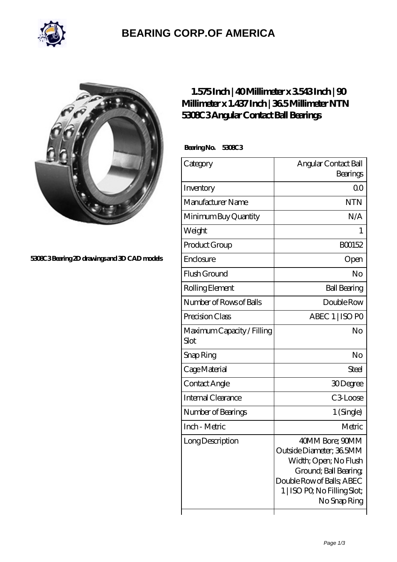

## **[BEARING CORP.OF AMERICA](https://bluemondayreview.com)**



**[5308C3 Bearing 2D drawings and 3D CAD models](https://bluemondayreview.com/pic-172679.html)**

## **[1.575 Inch | 40 Millimeter x 3.543 Inch | 90](https://bluemondayreview.com/by-172679-ntn-5308c3-angular-contact-ball-bearings.html) [Millimeter x 1.437 Inch | 36.5 Millimeter NTN](https://bluemondayreview.com/by-172679-ntn-5308c3-angular-contact-ball-bearings.html) [5308C3 Angular Contact Ball Bearings](https://bluemondayreview.com/by-172679-ntn-5308c3-angular-contact-ball-bearings.html)**

 **Bearing No. 5308C3**

| Category                           | Angular Contact Ball                                                                                                                                                       |
|------------------------------------|----------------------------------------------------------------------------------------------------------------------------------------------------------------------------|
|                                    | Bearings                                                                                                                                                                   |
| Inventory                          | 0 <sup>0</sup>                                                                                                                                                             |
| Manufacturer Name                  | <b>NTN</b>                                                                                                                                                                 |
| Minimum Buy Quantity               | N/A                                                                                                                                                                        |
| Weight                             | 1                                                                                                                                                                          |
| Product Group                      | BO0152                                                                                                                                                                     |
| Enclosure                          | Open                                                                                                                                                                       |
| Flush Ground                       | No                                                                                                                                                                         |
| Rolling Element                    | <b>Ball Bearing</b>                                                                                                                                                        |
| Number of Rows of Balls            | Double Row                                                                                                                                                                 |
| Precision Class                    | ABEC 1   ISO PO                                                                                                                                                            |
| Maximum Capacity / Filling<br>Slot | No                                                                                                                                                                         |
| Snap Ring                          | No                                                                                                                                                                         |
| Cage Material                      | Steel                                                                                                                                                                      |
| Contact Angle                      | 30Degree                                                                                                                                                                   |
| <b>Internal Clearance</b>          | C <sub>3</sub> Loose                                                                                                                                                       |
| Number of Bearings                 | 1 (Single)                                                                                                                                                                 |
| Inch - Metric                      | Metric                                                                                                                                                                     |
| Long Description                   | 40MM Bore; 90MM<br>Outside Diameter; 36 5MM<br>Width; Open; No Flush<br>Ground; Ball Bearing;<br>Double Row of Balls; ABEC<br>1   ISO PO, No Filling Slot;<br>No Snap Ring |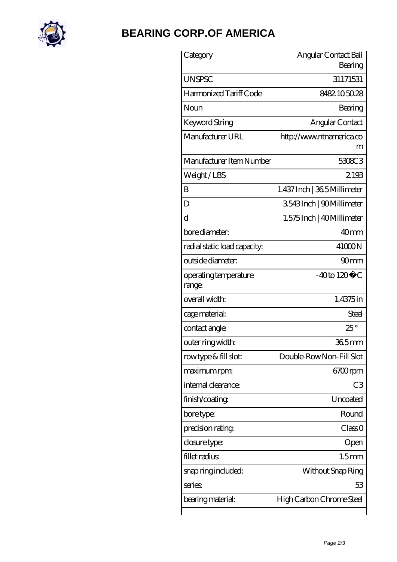

## **[BEARING CORP.OF AMERICA](https://bluemondayreview.com)**

| Category                        | Angular Contact Ball<br>Bearing |
|---------------------------------|---------------------------------|
| <b>UNSPSC</b>                   | 31171531                        |
| Harmonized Tariff Code          | 8482105028                      |
| Noun                            | Bearing                         |
| Keyword String                  | Angular Contact                 |
| Manufacturer URL                | http://www.ntnamerica.co<br>m   |
| Manufacturer Item Number        | 5308C3                          |
| Weight/LBS                      | 2193                            |
| B                               | 1.437 Inch   365 Millimeter     |
| D                               | 3543Inch   90Millimeter         |
| $\rm d$                         | 1.575 Inch   40 Millimeter      |
| bore diameter:                  | 40 <sub>mm</sub>                |
| radial static load capacity:    | 41000N                          |
| outside diameter:               | 90 <sub>mm</sub>                |
| operating temperature<br>range: | $-40$ to $120^{\circ}$ C        |
| overall width:                  | 1.4375 in                       |
| cage material:                  | Steel                           |
| contact angle:                  | $25^{\circ}$                    |
| outer ring width:               | $365$ mm                        |
| rowtype & fill slot:            | Double-RowNon-Fill Slot         |
| maximum rpm:                    | 6700rpm                         |
| internal clearance:             | C <sub>3</sub>                  |
| finish/coating                  | Uncoated                        |
| bore type:                      | Round                           |
| precision rating                | Class 0                         |
| closure type:                   | Open                            |
| fillet radius                   | 1.5 <sub>mm</sub>               |
| snap ring included:             | Without Snap Ring               |
| series                          | 53                              |
| bearing material:               | High Carbon Chrome Steel        |